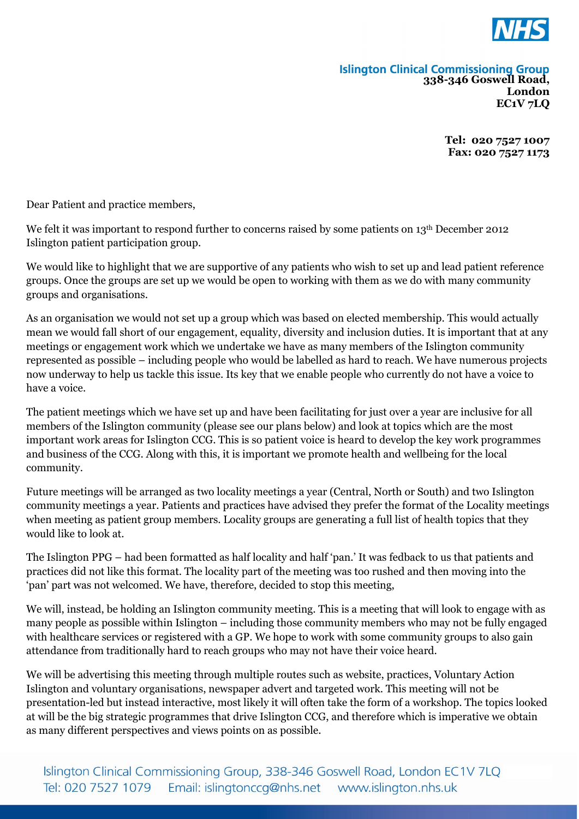

## **Islington Clinical Commissioning Group**<br>338-346 Goswell Road, **London EC1V 7LQ**

**Tel: 020 7527 1007 Fax: 020 7527 1173**

Dear Patient and practice members,

We felt it was important to respond further to concerns raised by some patients on 13<sup>th</sup> December 2012 Islington patient participation group.

We would like to highlight that we are supportive of any patients who wish to set up and lead patient reference groups. Once the groups are set up we would be open to working with them as we do with many community groups and organisations.

As an organisation we would not set up a group which was based on elected membership. This would actually mean we would fall short of our engagement, equality, diversity and inclusion duties. It is important that at any meetings or engagement work which we undertake we have as many members of the Islington community represented as possible – including people who would be labelled as hard to reach. We have numerous projects now underway to help us tackle this issue. Its key that we enable people who currently do not have a voice to have a voice.

The patient meetings which we have set up and have been facilitating for just over a year are inclusive for all members of the Islington community (please see our plans below) and look at topics which are the most important work areas for Islington CCG. This is so patient voice is heard to develop the key work programmes and business of the CCG. Along with this, it is important we promote health and wellbeing for the local community.

Future meetings will be arranged as two locality meetings a year (Central, North or South) and two Islington community meetings a year. Patients and practices have advised they prefer the format of the Locality meetings when meeting as patient group members. Locality groups are generating a full list of health topics that they would like to look at.

The Islington PPG – had been formatted as half locality and half 'pan.' It was fedback to us that patients and practices did not like this format. The locality part of the meeting was too rushed and then moving into the 'pan' part was not welcomed. We have, therefore, decided to stop this meeting,

We will, instead, be holding an Islington community meeting. This is a meeting that will look to engage with as many people as possible within Islington – including those community members who may not be fully engaged with healthcare services or registered with a GP. We hope to work with some community groups to also gain attendance from traditionally hard to reach groups who may not have their voice heard.

We will be advertising this meeting through multiple routes such as website, practices, Voluntary Action Islington and voluntary organisations, newspaper advert and targeted work. This meeting will not be presentation-led but instead interactive, most likely it will often take the form of a workshop. The topics looked at will be the big strategic programmes that drive Islington CCG, and therefore which is imperative we obtain as many different perspectives and views points on as possible.

Islington Clinical Commissioning Group, 338-346 Goswell Road, London EC1V 7LQ Email: islingtonccg@nhs.net www.islington.nhs.uk Tel: 020 7527 1079